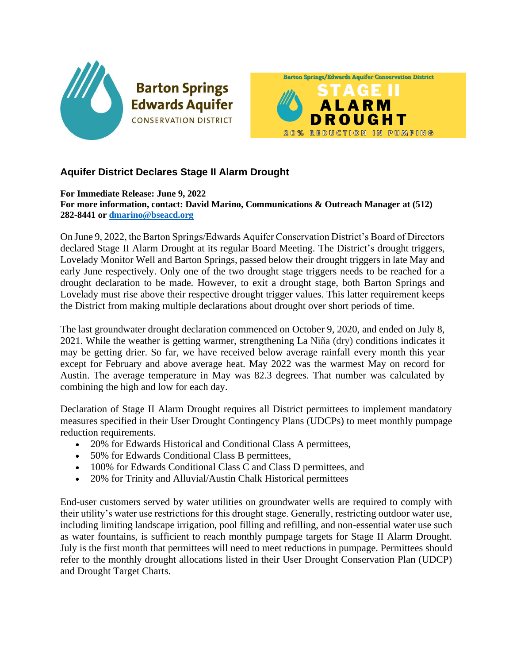

## **Aquifer District Declares Stage II Alarm Drought**

**For Immediate Release: June 9, 2022 For more information, contact: David Marino, Communications & Outreach Manager at (512) 282-8441 or [dmarino@bseacd.org](mailto:dmarino@bseacd.org)**

On June 9, 2022, the Barton Springs/Edwards Aquifer Conservation District's Board of Directors declared Stage II Alarm Drought at its regular Board Meeting. The District's drought triggers, Lovelady Monitor Well and Barton Springs, passed below their drought triggers in late May and early June respectively. Only one of the two drought stage triggers needs to be reached for a drought declaration to be made. However, to exit a drought stage, both Barton Springs and Lovelady must rise above their respective drought trigger values. This latter requirement keeps the District from making multiple declarations about drought over short periods of time.

The last groundwater drought declaration commenced on October 9, 2020, and ended on July 8, 2021. While the weather is getting warmer, strengthening La Niña (dry) conditions indicates it may be getting drier. So far, we have received below average rainfall every month this year except for February and above average heat. May 2022 was the warmest May on record for Austin. The average temperature in May was 82.3 degrees. That number was calculated by combining the high and low for each day.

Declaration of Stage II Alarm Drought requires all District permittees to implement mandatory measures specified in their User Drought Contingency Plans (UDCPs) to meet monthly pumpage reduction requirements.

- 20% for Edwards Historical and Conditional Class A permittees,
- 50% for Edwards Conditional Class B permittees,
- 100% for Edwards Conditional Class C and Class D permittees, and
- 20% for Trinity and Alluvial/Austin Chalk Historical permittees

End-user customers served by water utilities on groundwater wells are required to comply with their utility's water use restrictions for this drought stage. Generally, restricting outdoor water use, including limiting landscape irrigation, pool filling and refilling, and non-essential water use such as water fountains, is sufficient to reach monthly pumpage targets for Stage II Alarm Drought. July is the first month that permittees will need to meet reductions in pumpage. Permittees should refer to the monthly drought allocations listed in their User Drought Conservation Plan (UDCP) and Drought Target Charts.